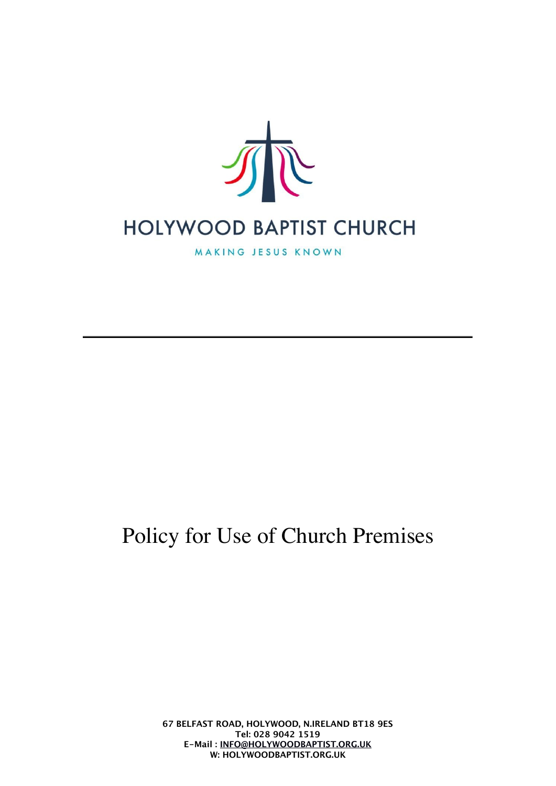

MAKING JESUS KNOWN

# Policy for Use of Church Premises

**67 BELFAST ROAD, HOLYWOOD, N.IRELAND BT18 9ES Tel: 028 9042 1519 E-Mail : [INFO@HOLYWOODBAPTIST.ORG.UK](mailto:info@holywoodbaptist.org.uk) W: HOLYWOODBAPTIST.ORG.UK**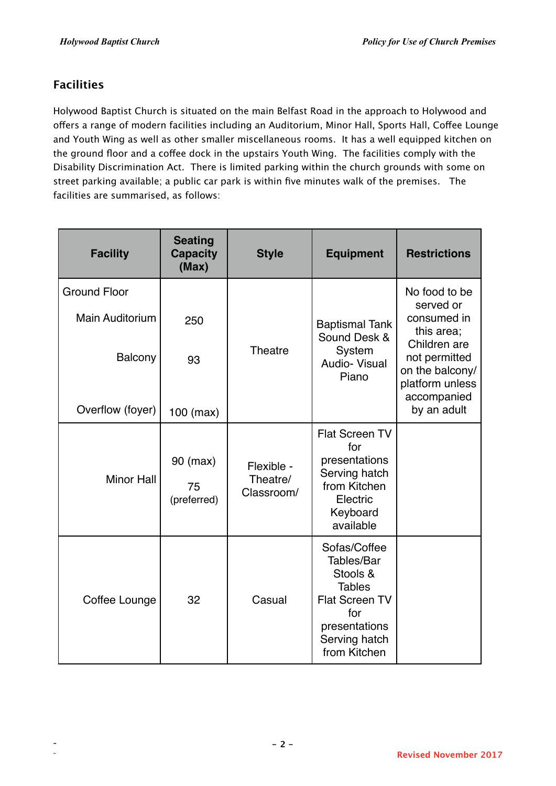# **Facilities**

Holywood Baptist Church is situated on the main Belfast Road in the approach to Holywood and ofers a range of modern facilities including an Auditorium, Minor Hall, Sports Hall, Cofee Lounge and Youth Wing as well as other smaller miscellaneous rooms. It has a well equipped kitchen on the ground floor and a coffee dock in the upstairs Youth Wing. The facilities comply with the Disability Discrimination Act. There is limited parking within the church grounds with some on street parking available; a public car park is within five minutes walk of the premises. The facilities are summarised, as follows:

| <b>Facility</b>        | <b>Seating</b><br><b>Capacity</b><br>(Max) | <b>Style</b>                         | <b>Equipment</b>                                                                                                                          | <b>Restrictions</b>                                                                |
|------------------------|--------------------------------------------|--------------------------------------|-------------------------------------------------------------------------------------------------------------------------------------------|------------------------------------------------------------------------------------|
| <b>Ground Floor</b>    |                                            |                                      |                                                                                                                                           | No food to be<br>served or                                                         |
| <b>Main Auditorium</b> | 250                                        |                                      | <b>Baptismal Tank</b><br>Sound Desk &                                                                                                     | consumed in<br>this area;                                                          |
| Balcony                | 93                                         | <b>Theatre</b>                       | System<br>Audio- Visual<br>Piano                                                                                                          | Children are<br>not permitted<br>on the balcony/<br>platform unless<br>accompanied |
| Overflow (foyer)       | 100 (max)                                  |                                      |                                                                                                                                           | by an adult                                                                        |
| <b>Minor Hall</b>      | 90 (max)<br>75<br>(preferred)              | Flexible -<br>Theatre/<br>Classroom/ | <b>Flat Screen TV</b><br>for<br>presentations<br>Serving hatch<br>from Kitchen<br>Electric<br>Keyboard<br>available                       |                                                                                    |
| Coffee Lounge          | 32                                         | Casual                               | Sofas/Coffee<br>Tables/Bar<br>Stools &<br><b>Tables</b><br><b>Flat Screen TV</b><br>for<br>presentations<br>Serving hatch<br>from Kitchen |                                                                                    |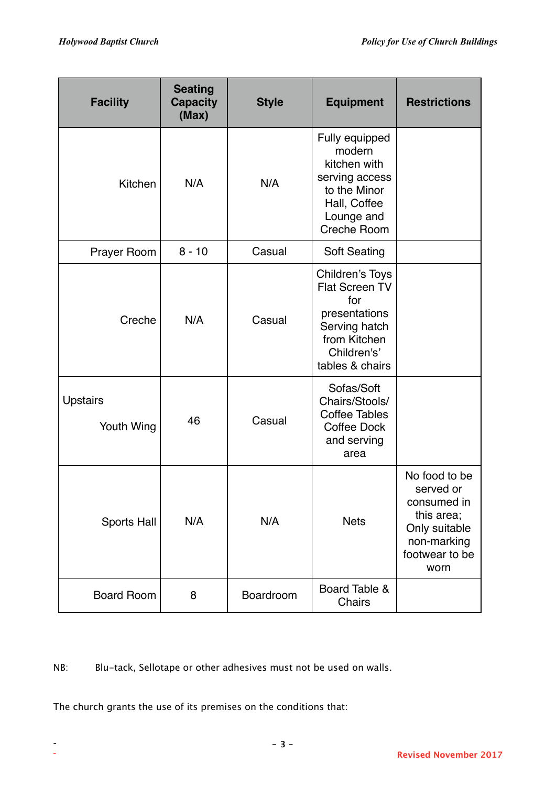| <b>Facility</b>               | <b>Seating</b><br><b>Capacity</b><br>(Max) | <b>Style</b> | <b>Equipment</b>                                                                                                             | <b>Restrictions</b>                                                                                               |
|-------------------------------|--------------------------------------------|--------------|------------------------------------------------------------------------------------------------------------------------------|-------------------------------------------------------------------------------------------------------------------|
| Kitchen                       | N/A                                        | N/A          | Fully equipped<br>modern<br>kitchen with<br>serving access<br>to the Minor<br>Hall, Coffee<br>Lounge and<br>Creche Room      |                                                                                                                   |
| <b>Prayer Room</b>            | $8 - 10$                                   | Casual       | <b>Soft Seating</b>                                                                                                          |                                                                                                                   |
| Creche                        | N/A                                        | Casual       | Children's Toys<br>Flat Screen TV<br>for<br>presentations<br>Serving hatch<br>from Kitchen<br>Children's'<br>tables & chairs |                                                                                                                   |
| <b>Upstairs</b><br>Youth Wing | 46                                         | Casual       | Sofas/Soft<br>Chairs/Stools/<br><b>Coffee Tables</b><br>Coffee Dock<br>and serving<br>area                                   |                                                                                                                   |
| Sports Hall                   | N/A                                        | N/A          | <b>Nets</b>                                                                                                                  | No food to be<br>served or<br>consumed in<br>this area;<br>Only suitable<br>non-marking<br>footwear to be<br>worn |
| <b>Board Room</b>             | 8                                          | Boardroom    | Board Table &<br>Chairs                                                                                                      |                                                                                                                   |

NB: Blu-tack, Sellotape or other adhesives must not be used on walls.

The church grants the use of its premises on the conditions that: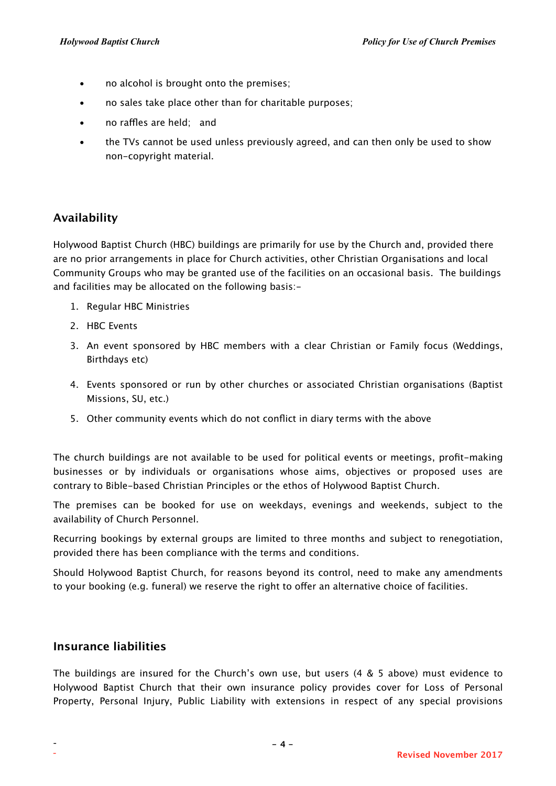- no alcohol is brought onto the premises;
- no sales take place other than for charitable purposes;
- no raffles are held; and
- the TVs cannot be used unless previously agreed, and can then only be used to show non-copyright material.

# **Availability**

Holywood Baptist Church (HBC) buildings are primarily for use by the Church and, provided there are no prior arrangements in place for Church activities, other Christian Organisations and local Community Groups who may be granted use of the facilities on an occasional basis. The buildings and facilities may be allocated on the following basis:-

- 1. Regular HBC Ministries
- 2. HBC Events
- 3. An event sponsored by HBC members with a clear Christian or Family focus (Weddings, Birthdays etc)
- 4. Events sponsored or run by other churches or associated Christian organisations (Baptist Missions, SU, etc.)
- 5. Other community events which do not conflict in diary terms with the above

The church buildings are not available to be used for political events or meetings, profit-making businesses or by individuals or organisations whose aims, objectives or proposed uses are contrary to Bible-based Christian Principles or the ethos of Holywood Baptist Church.

The premises can be booked for use on weekdays, evenings and weekends, subject to the availability of Church Personnel.

Recurring bookings by external groups are limited to three months and subject to renegotiation, provided there has been compliance with the terms and conditions.

Should Holywood Baptist Church, for reasons beyond its control, need to make any amendments to your booking (e.g. funeral) we reserve the right to offer an alternative choice of facilities.

#### **Insurance liabilities**

The buildings are insured for the Church's own use, but users (4 & 5 above) must evidence to Holywood Baptist Church that their own insurance policy provides cover for Loss of Personal Property, Personal Injury, Public Liability with extensions in respect of any special provisions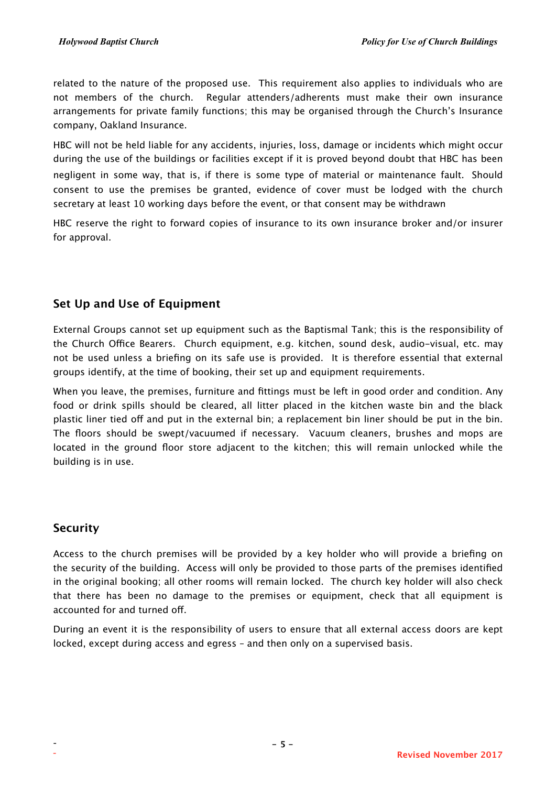related to the nature of the proposed use. This requirement also applies to individuals who are not members of the church. Regular attenders/adherents must make their own insurance arrangements for private family functions; this may be organised through the Church's Insurance company, Oakland Insurance.

HBC will not be held liable for any accidents, injuries, loss, damage or incidents which might occur during the use of the buildings or facilities except if it is proved beyond doubt that HBC has been negligent in some way, that is, if there is some type of material or maintenance fault. Should consent to use the premises be granted, evidence of cover must be lodged with the church secretary at least 10 working days before the event, or that consent may be withdrawn

HBC reserve the right to forward copies of insurance to its own insurance broker and/or insurer for approval.

# **Set Up and Use of Equipment**

External Groups cannot set up equipment such as the Baptismal Tank; this is the responsibility of the Church Office Bearers. Church equipment, e.g. kitchen, sound desk, audio-visual, etc. may not be used unless a briefing on its safe use is provided. It is therefore essential that external groups identify, at the time of booking, their set up and equipment requirements.

When you leave, the premises, furniture and fittings must be left in good order and condition. Any food or drink spills should be cleared, all litter placed in the kitchen waste bin and the black plastic liner tied off and put in the external bin; a replacement bin liner should be put in the bin. The floors should be swept/vacuumed if necessary. Vacuum cleaners, brushes and mops are located in the ground floor store adjacent to the kitchen; this will remain unlocked while the building is in use.

# **Security**

Access to the church premises will be provided by a key holder who will provide a briefing on the security of the building. Access will only be provided to those parts of the premises identified in the original booking; all other rooms will remain locked. The church key holder will also check that there has been no damage to the premises or equipment, check that all equipment is accounted for and turned of.

During an event it is the responsibility of users to ensure that all external access doors are kept locked, except during access and egress – and then only on a supervised basis.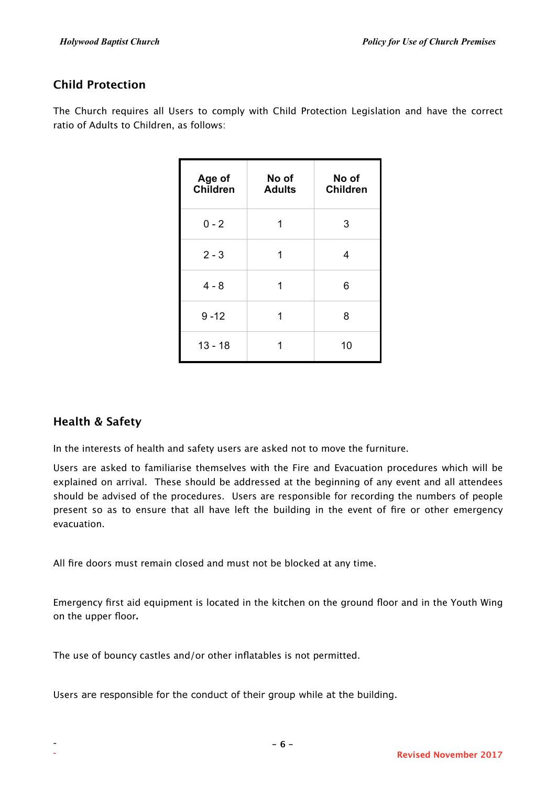# **Child Protection**

The Church requires all Users to comply with Child Protection Legislation and have the correct ratio of Adults to Children, as follows:

| Age of<br><b>Children</b> | No of<br><b>Adults</b> | No of<br><b>Children</b> |
|---------------------------|------------------------|--------------------------|
| $0 - 2$                   | 1                      | 3                        |
| $2 - 3$                   | 1                      | 4                        |
| $4 - 8$                   | 1                      | 6                        |
| $9 - 12$                  | 1                      | 8                        |
| $13 - 18$                 |                        | 10                       |

# **Health & Safety**

In the interests of health and safety users are asked not to move the furniture.

Users are asked to familiarise themselves with the Fire and Evacuation procedures which will be explained on arrival. These should be addressed at the beginning of any event and all attendees should be advised of the procedures. Users are responsible for recording the numbers of people present so as to ensure that all have left the building in the event of fire or other emergency evacuation.

All fire doors must remain closed and must not be blocked at any time.

Emergency first aid equipment is located in the kitchen on the ground floor and in the Youth Wing on the upper floor**.**

The use of bouncy castles and/or other inflatables is not permitted.

Users are responsible for the conduct of their group while at the building.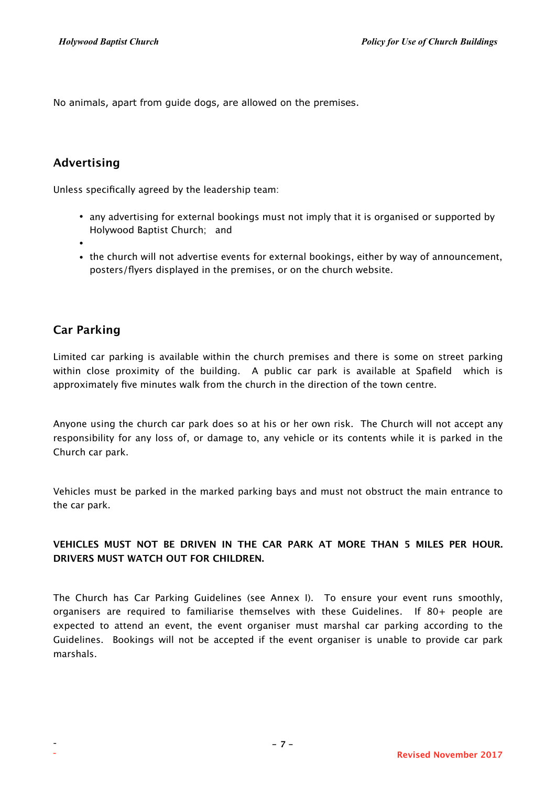No animals, apart from guide dogs, are allowed on the premises.

# **Advertising**

Unless specifically agreed by the leadership team:

- any advertising for external bookings must not imply that it is organised or supported by Holywood Baptist Church; and
- •
- the church will not advertise events for external bookings, either by way of announcement, posters/flyers displayed in the premises, or on the church website.

## **Car Parking**

Limited car parking is available within the church premises and there is some on street parking within close proximity of the building. A public car park is available at Spafield which is approximately five minutes walk from the church in the direction of the town centre.

Anyone using the church car park does so at his or her own risk. The Church will not accept any responsibility for any loss of, or damage to, any vehicle or its contents while it is parked in the Church car park.

Vehicles must be parked in the marked parking bays and must not obstruct the main entrance to the car park.

#### **VEHICLES MUST NOT BE DRIVEN IN THE CAR PARK AT MORE THAN 5 MILES PER HOUR. DRIVERS MUST WATCH OUT FOR CHILDREN.**

The Church has Car Parking Guidelines (see Annex I). To ensure your event runs smoothly, organisers are required to familiarise themselves with these Guidelines. If 80+ people are expected to attend an event, the event organiser must marshal car parking according to the Guidelines. Bookings will not be accepted if the event organiser is unable to provide car park marshals.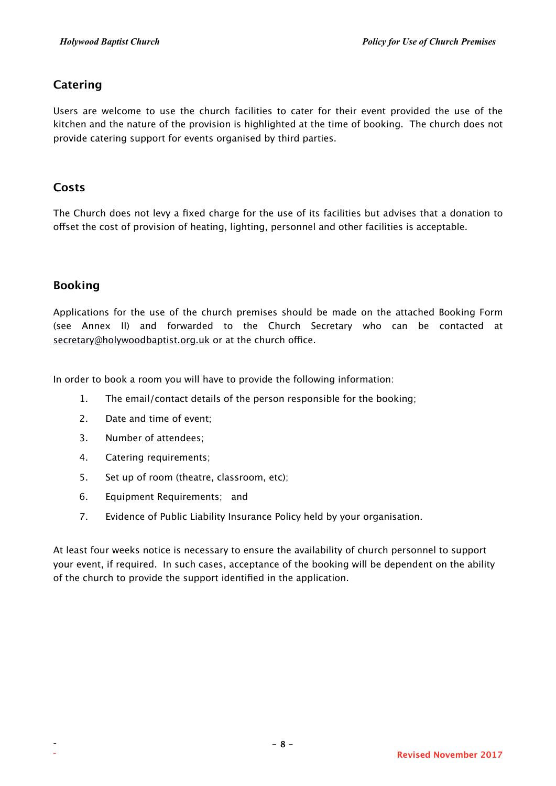# **Catering**

Users are welcome to use the church facilities to cater for their event provided the use of the kitchen and the nature of the provision is highlighted at the time of booking. The church does not provide catering support for events organised by third parties.

#### **Costs**

The Church does not levy a fixed charge for the use of its facilities but advises that a donation to ofset the cost of provision of heating, lighting, personnel and other facilities is acceptable.

#### **Booking**

Applications for the use of the church premises should be made on the attached Booking Form (see Annex II) and forwarded to the Church Secretary who can be contacted at [secretary@holywoodbaptist.org.uk](mailto:secretary@holywoodbaptist.org.uk) or at the church office.

In order to book a room you will have to provide the following information:

- 1. The email/contact details of the person responsible for the booking;
- 2. Date and time of event;
- 3. Number of attendees;
- 4. Catering requirements;
- 5. Set up of room (theatre, classroom, etc);
- 6. Equipment Requirements; and
- 7. Evidence of Public Liability Insurance Policy held by your organisation.

At least four weeks notice is necessary to ensure the availability of church personnel to support your event, if required. In such cases, acceptance of the booking will be dependent on the ability of the church to provide the support identified in the application.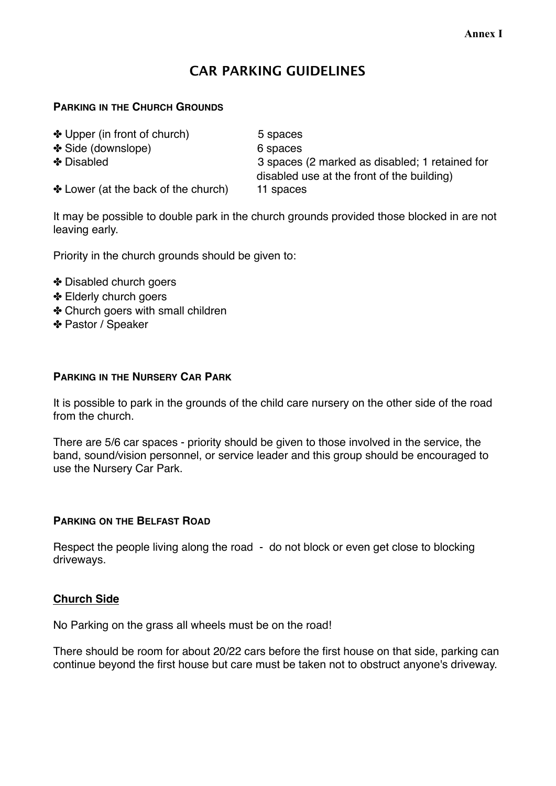# **CAR PARKING GUIDELINES**

#### **PARKING IN THE CHURCH GROUNDS**

✤ Upper (in front of church) 5 spaces ✤ Side (downslope) 6 spaces

✤ Disabled 3 spaces (2 marked as disabled; 1 retained for disabled use at the front of the building)

✤ Lower (at the back of the church) 11 spaces

It may be possible to double park in the church grounds provided those blocked in are not leaving early.

Priority in the church grounds should be given to:

- ✤ Disabled church goers
- ✤ Elderly church goers
- ✤ Church goers with small children
- ✤ Pastor / Speaker

#### **PARKING IN THE NURSERY CAR PARK**

It is possible to park in the grounds of the child care nursery on the other side of the road from the church.

There are 5/6 car spaces - priority should be given to those involved in the service, the band, sound/vision personnel, or service leader and this group should be encouraged to use the Nursery Car Park.

#### **PARKING ON THE BELFAST ROAD**

Respect the people living along the road - do not block or even get close to blocking driveways.

## **Church Side**

No Parking on the grass all wheels must be on the road!

There should be room for about 20/22 cars before the first house on that side, parking can continue beyond the first house but care must be taken not to obstruct anyone's driveway.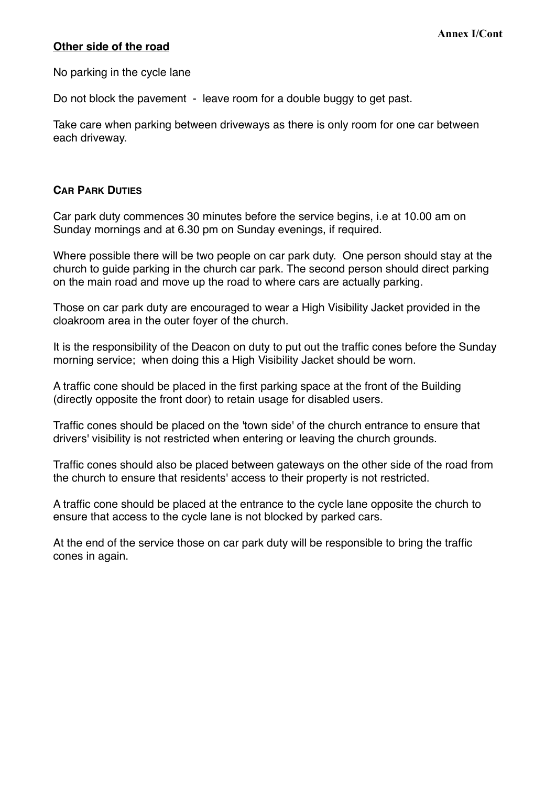#### **Other side of the road**

No parking in the cycle lane

Do not block the pavement - leave room for a double buggy to get past.

Take care when parking between driveways as there is only room for one car between each driveway.

#### **CAR PARK DUTIES**

Car park duty commences 30 minutes before the service begins, i.e at 10.00 am on Sunday mornings and at 6.30 pm on Sunday evenings, if required.

Where possible there will be two people on car park duty. One person should stay at the church to guide parking in the church car park. The second person should direct parking on the main road and move up the road to where cars are actually parking.

Those on car park duty are encouraged to wear a High Visibility Jacket provided in the cloakroom area in the outer foyer of the church.

It is the responsibility of the Deacon on duty to put out the traffic cones before the Sunday morning service; when doing this a High Visibility Jacket should be worn.

A traffic cone should be placed in the first parking space at the front of the Building (directly opposite the front door) to retain usage for disabled users.

Traffic cones should be placed on the 'town side' of the church entrance to ensure that drivers' visibility is not restricted when entering or leaving the church grounds.

Traffic cones should also be placed between gateways on the other side of the road from the church to ensure that residents' access to their property is not restricted.

A traffic cone should be placed at the entrance to the cycle lane opposite the church to ensure that access to the cycle lane is not blocked by parked cars.

At the end of the service those on car park duty will be responsible to bring the traffic cones in again.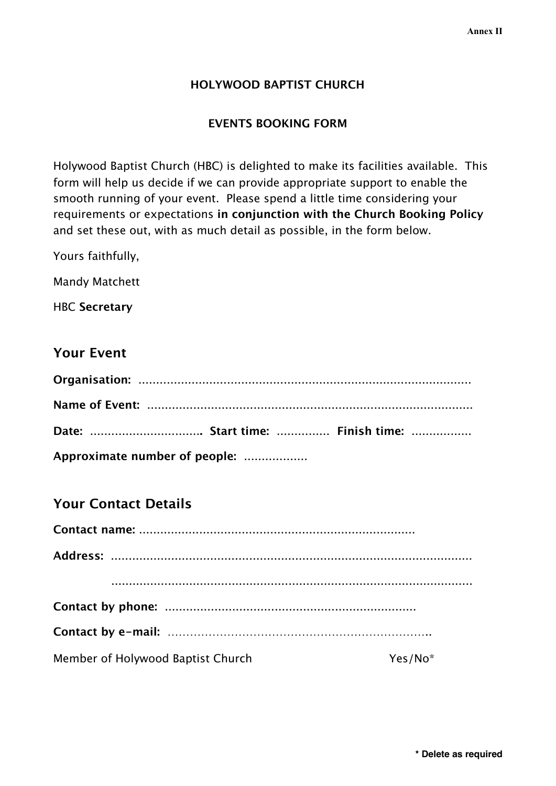## **HOLYWOOD BAPTIST CHURCH**

#### **EVENTS BOOKING FORM**

Holywood Baptist Church (HBC) is delighted to make its facilities available. This form will help us decide if we can provide appropriate support to enable the smooth running of your event. Please spend a little time considering your requirements or expectations **in conjunction with the Church Booking Policy** and set these out, with as much detail as possible, in the form below.

Yours faithfully,

Mandy Matchett

HBC **Secretary**

# **Your Event**

| Date:  Start time:  Finish time: |  |
|----------------------------------|--|
| Approximate number of people:    |  |

# **Your Contact Details**

| Member of Holywood Baptist Church | Yes/No* |
|-----------------------------------|---------|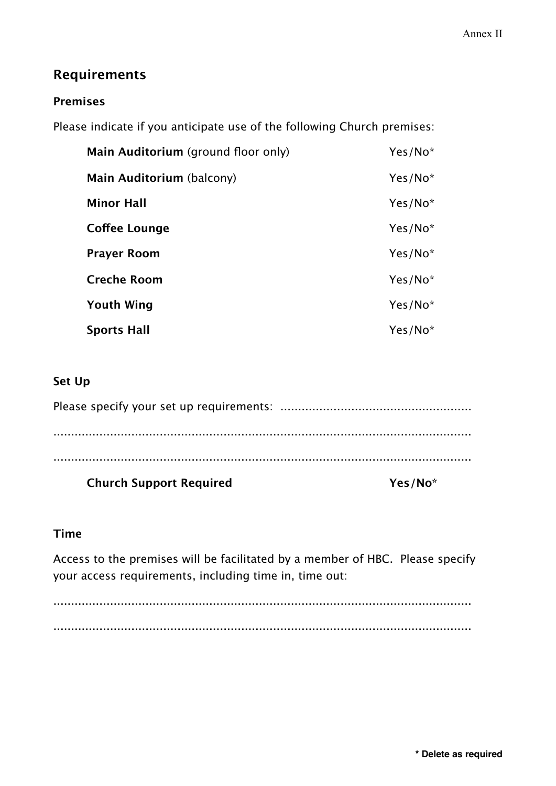# **Requirements**

## **Premises**

Please indicate if you anticipate use of the following Church premises:

| Main Auditorium (ground floor only) | Yes/No*             |
|-------------------------------------|---------------------|
| Main Auditorium (balcony)           | Yes/No*             |
| <b>Minor Hall</b>                   | $Yes/No*$           |
| Coffee Lounge                       | $Yes/No*$           |
| <b>Prayer Room</b>                  | Yes/No*             |
| <b>Creche Room</b>                  | Yes/No*             |
| <b>Youth Wing</b>                   | Yes/No*             |
| <b>Sports Hall</b>                  | Yes/No <sup>*</sup> |

# **Set Up**

| <b>Church Support Required</b> | Yes/No <sup>*</sup> |
|--------------------------------|---------------------|
| .                              |                     |
|                                |                     |
|                                |                     |
|                                |                     |

# **Time**

Access to the premises will be facilitated by a member of HBC. Please specify your access requirements, including time in, time out:

...................................................................................................................... ......................................................................................................................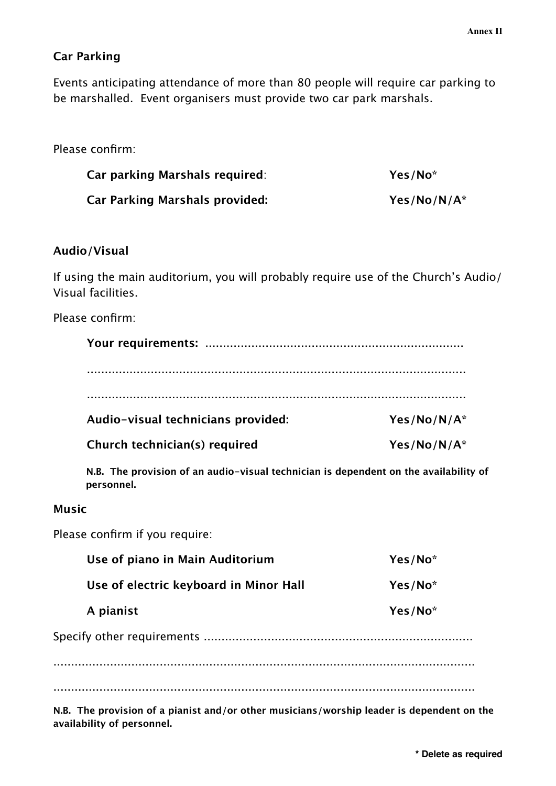## **Car Parking**

Events anticipating attendance of more than 80 people will require car parking to be marshalled. Event organisers must provide two car park marshals.

## Please confirm:

| Car parking Marshals required: | Yes/No <sup>*</sup> |
|--------------------------------|---------------------|
| Car Parking Marshals provided: | Yes/No/N/A*         |

#### **Audio/Visual**

If using the main auditorium, you will probably require use of the Church's Audio/ Visual facilities.

Please confirm:

| Audio-visual technicians provided: | $Yes/No/N/A^*$ |
|------------------------------------|----------------|
| Church technician(s) required      | $Yes/No/N/A^*$ |

**N.B. The provision of an audio-visual technician is dependent on the availability of personnel.**

#### **Music**

Please confirm if you require:

| Use of piano in Main Auditorium        | Yes/No* |
|----------------------------------------|---------|
| Use of electric keyboard in Minor Hall | Yes/No* |
| A pianist                              | Yes/No* |
|                                        |         |
|                                        |         |
|                                        |         |
|                                        |         |

**N.B. The provision of a pianist and/or other musicians/worship leader is dependent on the availability of personnel.**